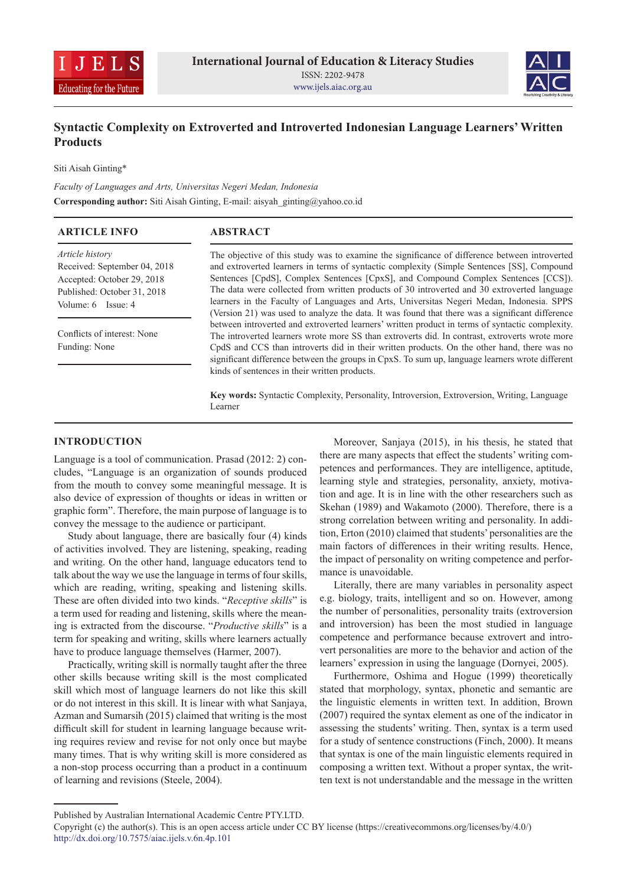



# **Syntactic Complexity on Extroverted and Introverted Indonesian Language Learners' Written Products**

Siti Aisah Ginting\*

*Faculty of Languages and Arts, Universitas Negeri Medan, Indonesia* **Corresponding author:** Siti Aisah Ginting, E-mail: aisyah\_ginting@yahoo.co.id

| <b>ARTICLE INFO</b>                                                                                                                | <b>ABSTRACT</b>                                                                                                                                                                                                                                                                                                                                                                                                                                                                                                                                                                 |
|------------------------------------------------------------------------------------------------------------------------------------|---------------------------------------------------------------------------------------------------------------------------------------------------------------------------------------------------------------------------------------------------------------------------------------------------------------------------------------------------------------------------------------------------------------------------------------------------------------------------------------------------------------------------------------------------------------------------------|
| Article history<br>Received: September 04, 2018<br>Accepted: October 29, 2018<br>Published: October 31, 2018<br>Volume: 6 Issue: 4 | The objective of this study was to examine the significance of difference between introverted<br>and extroverted learners in terms of syntactic complexity (Simple Sentences [SS], Compound<br>Sentences [CpdS], Complex Sentences [CpxS], and Compound Complex Sentences [CCS]).<br>The data were collected from written products of 30 introverted and 30 extroverted language<br>learners in the Faculty of Languages and Arts, Universitas Negeri Medan, Indonesia. SPPS<br>(Version 21) was used to analyze the data. It was found that there was a significant difference |
| Conflicts of interest: None<br>Funding: None                                                                                       | between introverted and extroverted learners' written product in terms of syntactic complexity.<br>The introverted learners wrote more SS than extroverts did. In contrast, extroverts wrote more<br>CpdS and CCS than introverts did in their written products. On the other hand, there was no<br>significant difference between the groups in CpxS. To sum up, language learners wrote different<br>kinds of sentences in their written products.                                                                                                                            |

**Key words:** Syntactic Complexity, Personality, Introversion, Extroversion, Writing, Language Learner

# **INTRODUCTION**

Language is a tool of communication. Prasad (2012: 2) concludes, "Language is an organization of sounds produced from the mouth to convey some meaningful message. It is also device of expression of thoughts or ideas in written or graphic form". Therefore, the main purpose of language is to convey the message to the audience or participant.

Study about language, there are basically four (4) kinds of activities involved. They are listening, speaking, reading and writing. On the other hand, language educators tend to talk about the way we use the language in terms of four skills, which are reading, writing, speaking and listening skills. These are often divided into two kinds. "*Receptive skills*" is a term used for reading and listening, skills where the meaning is extracted from the discourse. "*Productive skills*" is a term for speaking and writing, skills where learners actually have to produce language themselves (Harmer, 2007).

Practically, writing skill is normally taught after the three other skills because writing skill is the most complicated skill which most of language learners do not like this skill or do not interest in this skill. It is linear with what Sanjaya, Azman and Sumarsih (2015) claimed that writing is the most difficult skill for student in learning language because writing requires review and revise for not only once but maybe many times. That is why writing skill is more considered as a non-stop process occurring than a product in a continuum of learning and revisions (Steele, 2004).

Moreover, Sanjaya (2015), in his thesis, he stated that there are many aspects that effect the students' writing competences and performances. They are intelligence, aptitude, learning style and strategies, personality, anxiety, motivation and age. It is in line with the other researchers such as Skehan (1989) and Wakamoto (2000). Therefore, there is a strong correlation between writing and personality. In addition, Erton (2010) claimed that students' personalities are the main factors of differences in their writing results. Hence, the impact of personality on writing competence and performance is unavoidable.

Literally, there are many variables in personality aspect e.g. biology, traits, intelligent and so on. However, among the number of personalities, personality traits (extroversion and introversion) has been the most studied in language competence and performance because extrovert and introvert personalities are more to the behavior and action of the learners' expression in using the language (Dornyei, 2005).

Furthermore, Oshima and Hogue (1999) theoretically stated that morphology, syntax, phonetic and semantic are the linguistic elements in written text. In addition, Brown (2007) required the syntax element as one of the indicator in assessing the students' writing. Then, syntax is a term used for a study of sentence constructions (Finch, 2000). It means that syntax is one of the main linguistic elements required in composing a written text. Without a proper syntax, the written text is not understandable and the message in the written

Published by Australian International Academic Centre PTY.LTD.

Copyright (c) the author(s). This is an open access article under CC BY license (https://creativecommons.org/licenses/by/4.0/) http://dx.doi.org/10.7575/aiac.ijels.v.6n.4p.101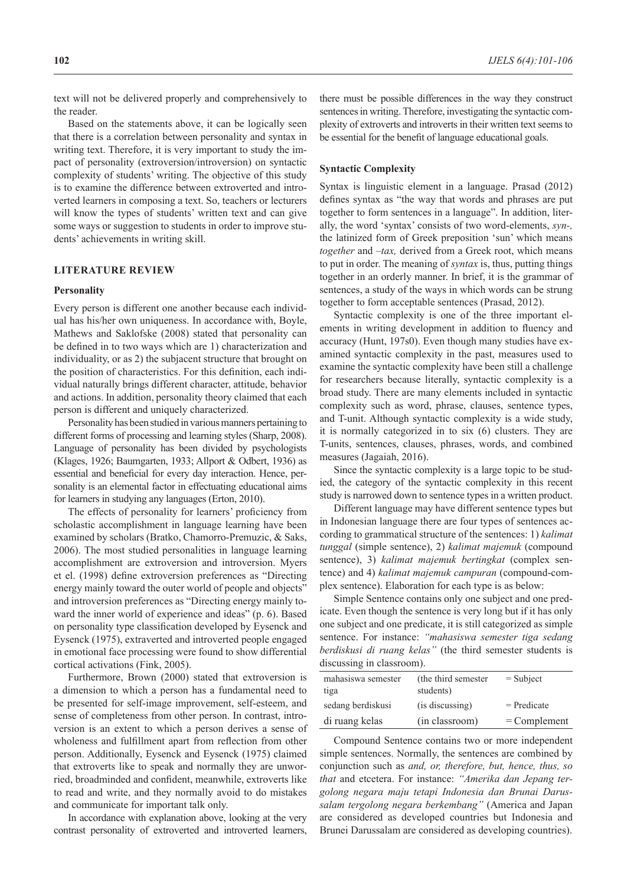the reader.

Based on the statements above, it can be logically seen that there is a correlation between personality and syntax in writing text. Therefore, it is very important to study the impact of personality (extroversion/introversion) on syntactic complexity of students' writing. The objective of this study is to examine the difference between extroverted and introverted learners in composing a text. So, teachers or lecturers will know the types of students' written text and can give some ways or suggestion to students in order to improve students' achievements in writing skill.

## **LITERATURE REVIEW**

#### **Personality**

Every person is different one another because each individual has his/her own uniqueness. In accordance with, Boyle, Mathews and Saklofske (2008) stated that personality can be defined in to two ways which are 1) characterization and individuality, or as 2) the subjacent structure that brought on the position of characteristics. For this definition, each individual naturally brings different character, attitude, behavior and actions. In addition, personality theory claimed that each person is different and uniquely characterized.

Personality has been studied in various manners pertaining to different forms of processing and learning styles (Sharp, 2008). Language of personality has been divided by psychologists (Klages, 1926; Baumgarten, 1933; Allport & Odbert, 1936) as essential and beneficial for every day interaction. Hence, personality is an elemental factor in effectuating educational aims for learners in studying any languages (Erton, 2010).

The effects of personality for learners' proficiency from scholastic accomplishment in language learning have been examined by scholars (Bratko, Chamorro-Premuzic, & Saks, 2006). The most studied personalities in language learning accomplishment are extroversion and introversion. Myers et el. (1998) define extroversion preferences as "Directing energy mainly toward the outer world of people and objects" and introversion preferences as "Directing energy mainly toward the inner world of experience and ideas" (p. 6). Based on personality type classification developed by Eysenck and Eysenck (1975), extraverted and introverted people engaged in emotional face processing were found to show differential cortical activations (Fink, 2005).

Furthermore, Brown (2000) stated that extroversion is a dimension to which a person has a fundamental need to be presented for self-image improvement, self-esteem, and sense of completeness from other person. In contrast, introversion is an extent to which a person derives a sense of wholeness and fulfillment apart from reflection from other person. Additionally, Eysenck and Eysenck (1975) claimed that extroverts like to speak and normally they are unworried, broadminded and confident, meanwhile, extroverts like to read and write, and they normally avoid to do mistakes and communicate for important talk only.

In accordance with explanation above, looking at the very contrast personality of extroverted and introverted learners, there must be possible differences in the way they construct sentences in writing. Therefore, investigating the syntactic complexity of extroverts and introverts in their written text seems to be essential for the benefit of language educational goals.

#### **Syntactic Complexity**

Syntax is linguistic element in a language. Prasad (2012) defines syntax as "the way that words and phrases are put together to form sentences in a language". In addition, literally, the word 'syntax' consists of two word-elements, *syn-,*  the latinized form of Greek preposition 'sun' which means *together* and *–tax,* derived from a Greek root, which means to put in order. The meaning of *syntax* is, thus, putting things together in an orderly manner. In brief, it is the grammar of sentences, a study of the ways in which words can be strung together to form acceptable sentences (Prasad, 2012).

Syntactic complexity is one of the three important elements in writing development in addition to fluency and accuracy (Hunt, 197s0). Even though many studies have examined syntactic complexity in the past, measures used to examine the syntactic complexity have been still a challenge for researchers because literally, syntactic complexity is a broad study. There are many elements included in syntactic complexity such as word, phrase, clauses, sentence types, and T-unit. Although syntactic complexity is a wide study, it is normally categorized in to six (6) clusters. They are T-units, sentences, clauses, phrases, words, and combined measures (Jagaiah, 2016).

Since the syntactic complexity is a large topic to be studied, the category of the syntactic complexity in this recent study is narrowed down to sentence types in a written product.

Different language may have different sentence types but in Indonesian language there are four types of sentences according to grammatical structure of the sentences: 1) *kalimat tunggal* (simple sentence), 2) *kalimat majemuk* (compound sentence), 3) *kalimat majemuk bertingkat* (complex sentence) and 4) *kalimat majemuk campuran* (compound-complex sentence). Elaboration for each type is as below:

Simple Sentence contains only one subject and one predicate. Even though the sentence is very long but if it has only one subject and one predicate, it is still categorized as simple sentence. For instance: *"mahasiswa semester tiga sedang berdiskusi di ruang kelas"* (the third semester students is discussing in classroom).

| mahasiswa semester<br>tiga | (the third semester)<br>students) | $=$ Subject    |
|----------------------------|-----------------------------------|----------------|
| sedang berdiskusi          | (is discussing)                   | $=$ Predicate  |
| di ruang kelas             | (in classroom)                    | $=$ Complement |

Compound Sentence contains two or more independent simple sentences. Normally, the sentences are combined by conjunction such as *and, or, therefore, but, hence, thus, so that* and etcetera. For instance: *"Amerika dan Jepang tergolong negara maju tetapi Indonesia dan Brunai Darussalam tergolong negara berkembang"* (America and Japan are considered as developed countries but Indonesia and Brunei Darussalam are considered as developing countries).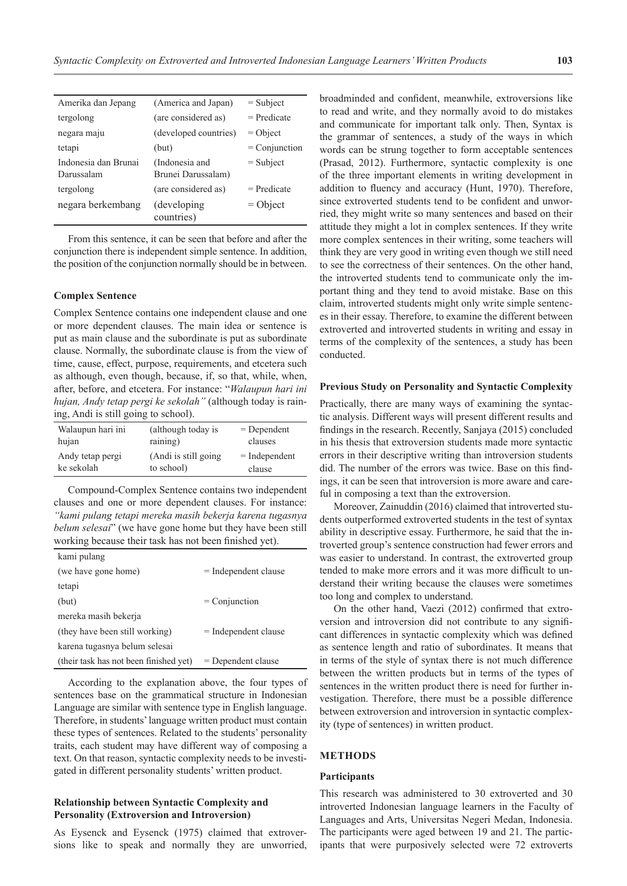| Amerika dan Jepang                 | (America and Japan)                  | $=$ Subject     |
|------------------------------------|--------------------------------------|-----------------|
| tergolong                          | (are considered as)                  | $=$ Predicate   |
| negara maju                        | (developed countries)                | $=$ Object      |
| tetapi                             | (but)                                | $=$ Conjunction |
| Indonesia dan Brunai<br>Darussalam | (Indonesia and<br>Brunei Darussalam) | $=$ Subject     |
| tergolong                          | (are considered as)                  | $=$ Predicate   |
| negara berkembang                  | (developing)<br>countries)           | $=$ Object      |

From this sentence, it can be seen that before and after the conjunction there is independent simple sentence. In addition, the position of the conjunction normally should be in between.

#### **Complex Sentence**

Complex Sentence contains one independent clause and one or more dependent clauses. The main idea or sentence is put as main clause and the subordinate is put as subordinate clause. Normally, the subordinate clause is from the view of time, cause, effect, purpose, requirements, and etcetera such as although, even though, because, if, so that, while, when, after, before, and etcetera. For instance: "*Walaupun hari ini hujan, Andy tetap pergi ke sekolah"* (although today is raining, Andi is still going to school).

| Walaupun hari ini | (although today is    | $=$ Dependent   |
|-------------------|-----------------------|-----------------|
| hujan             | raining)              | clauses         |
| Andy tetap pergi  | (Andi is still going) | $=$ Independent |
| ke sekolah        | to school)            | clause          |

Compound-Complex Sentence contains two independent clauses and one or more dependent clauses. For instance: *"kami pulang tetapi mereka masih bekerja karena tugasnya belum selesai*" (we have gone home but they have been still working because their task has not been finished yet).

| kami pulang                            |                        |
|----------------------------------------|------------------------|
| (we have gone home)                    | $=$ Independent clause |
| tetapi                                 |                        |
| (but)                                  | $=$ Conjunction        |
| mereka masih bekerja                   |                        |
| (they have been still working)         | $=$ Independent clause |
| karena tugasnya belum selesai          |                        |
| (their task has not been finished yet) | $=$ Dependent clause   |
|                                        |                        |

According to the explanation above, the four types of sentences base on the grammatical structure in Indonesian Language are similar with sentence type in English language. Therefore, in students' language written product must contain these types of sentences. Related to the students' personality traits, each student may have different way of composing a text. On that reason, syntactic complexity needs to be investigated in different personality students' written product.

# **Relationship between Syntactic Complexity and Personality (Extroversion and Introversion)**

As Eysenck and Eysenck (1975) claimed that extroversions like to speak and normally they are unworried, broadminded and confident, meanwhile, extroversions like to read and write, and they normally avoid to do mistakes and communicate for important talk only. Then, Syntax is the grammar of sentences, a study of the ways in which words can be strung together to form acceptable sentences (Prasad, 2012). Furthermore, syntactic complexity is one of the three important elements in writing development in addition to fluency and accuracy (Hunt, 1970). Therefore, since extroverted students tend to be confident and unworried, they might write so many sentences and based on their attitude they might a lot in complex sentences. If they write more complex sentences in their writing, some teachers will think they are very good in writing even though we still need to see the correctness of their sentences. On the other hand, the introverted students tend to communicate only the important thing and they tend to avoid mistake. Base on this claim, introverted students might only write simple sentences in their essay. Therefore, to examine the different between extroverted and introverted students in writing and essay in terms of the complexity of the sentences, a study has been conducted.

#### **Previous Study on Personality and Syntactic Complexity**

Practically, there are many ways of examining the syntactic analysis. Different ways will present different results and findings in the research. Recently, Sanjaya (2015) concluded in his thesis that extroversion students made more syntactic errors in their descriptive writing than introversion students did. The number of the errors was twice. Base on this findings, it can be seen that introversion is more aware and careful in composing a text than the extroversion.

Moreover, Zainuddin (2016) claimed that introverted students outperformed extroverted students in the test of syntax ability in descriptive essay. Furthermore, he said that the introverted group's sentence construction had fewer errors and was easier to understand. In contrast, the extroverted group tended to make more errors and it was more difficult to understand their writing because the clauses were sometimes too long and complex to understand.

On the other hand, Vaezi (2012) confirmed that extroversion and introversion did not contribute to any significant differences in syntactic complexity which was defined as sentence length and ratio of subordinates. It means that in terms of the style of syntax there is not much difference between the written products but in terms of the types of sentences in the written product there is need for further investigation. Therefore, there must be a possible difference between extroversion and introversion in syntactic complexity (type of sentences) in written product.

## **METHODS**

### **Participants**

This research was administered to 30 extroverted and 30 introverted Indonesian language learners in the Faculty of Languages and Arts, Universitas Negeri Medan, Indonesia. The participants were aged between 19 and 21. The participants that were purposively selected were 72 extroverts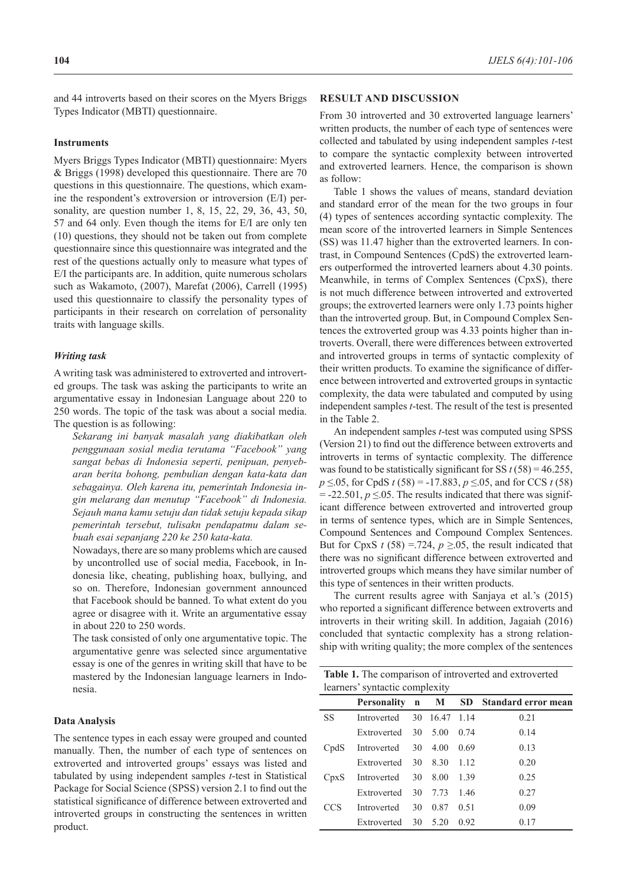and 44 introverts based on their scores on the Myers Briggs Types Indicator (MBTI) questionnaire.

#### **Instruments**

Myers Briggs Types Indicator (MBTI) questionnaire: Myers & Briggs (1998) developed this questionnaire. There are 70 questions in this questionnaire. The questions, which examine the respondent's extroversion or introversion (E/I) personality, are question number 1, 8, 15, 22, 29, 36, 43, 50, 57 and 64 only. Even though the items for E/I are only ten (10) questions, they should not be taken out from complete questionnaire since this questionnaire was integrated and the rest of the questions actually only to measure what types of E/I the participants are. In addition, quite numerous scholars such as Wakamoto, (2007), Marefat (2006), Carrell (1995) used this questionnaire to classify the personality types of participants in their research on correlation of personality traits with language skills.

#### *Writing task*

A writing task was administered to extroverted and introverted groups. The task was asking the participants to write an argumentative essay in Indonesian Language about 220 to 250 words. The topic of the task was about a social media. The question is as following:

*Sekarang ini banyak masalah yang diakibatkan oleh penggunaan sosial media terutama "Facebook" yang sangat bebas di Indonesia seperti, penipuan, penyebaran berita bohong, pembulian dengan kata-kata dan sebagainya. Oleh karena itu, pemerintah Indonesia ingin melarang dan menutup "Facebook" di Indonesia. Sejauh mana kamu setuju dan tidak setuju kepada sikap pemerintah tersebut, tulisakn pendapatmu dalam sebuah esai sepanjang 220 ke 250 kata-kata.*

Nowadays, there are so many problems which are caused by uncontrolled use of social media, Facebook, in Indonesia like, cheating, publishing hoax, bullying, and so on. Therefore, Indonesian government announced that Facebook should be banned. To what extent do you agree or disagree with it. Write an argumentative essay in about 220 to 250 words.

The task consisted of only one argumentative topic. The argumentative genre was selected since argumentative essay is one of the genres in writing skill that have to be mastered by the Indonesian language learners in Indonesia.

#### **Data Analysis**

The sentence types in each essay were grouped and counted manually. Then, the number of each type of sentences on extroverted and introverted groups' essays was listed and tabulated by using independent samples *t*-test in Statistical Package for Social Science (SPSS) version 2.1 to find out the statistical significance of difference between extroverted and introverted groups in constructing the sentences in written product.

## **RESULT AND DISCUSSION**

From 30 introverted and 30 extroverted language learners' written products, the number of each type of sentences were collected and tabulated by using independent samples *t*-test to compare the syntactic complexity between introverted and extroverted learners. Hence, the comparison is shown as follow:

Table 1 shows the values of means, standard deviation and standard error of the mean for the two groups in four (4) types of sentences according syntactic complexity. The mean score of the introverted learners in Simple Sentences (SS) was 11.47 higher than the extroverted learners. In contrast, in Compound Sentences (CpdS) the extroverted learners outperformed the introverted learners about 4.30 points. Meanwhile, in terms of Complex Sentences (CpxS), there is not much difference between introverted and extroverted groups; the extroverted learners were only 1.73 points higher than the introverted group. But, in Compound Complex Sentences the extroverted group was 4.33 points higher than introverts. Overall, there were differences between extroverted and introverted groups in terms of syntactic complexity of their written products. To examine the significance of difference between introverted and extroverted groups in syntactic complexity, the data were tabulated and computed by using independent samples *t*-test. The result of the test is presented in the Table 2.

An independent samples *t*-test was computed using SPSS (Version 21) to find out the difference between extroverts and introverts in terms of syntactic complexity. The difference was found to be statistically significant for SS  $t$  (58) = 46.255, *p* ≤.05, for CpdS *t* (58) = -17.883, *p* ≤.05, and for CCS *t* (58)  $= -22.501, p \le 0.05$ . The results indicated that there was significant difference between extroverted and introverted group in terms of sentence types, which are in Simple Sentences, Compound Sentences and Compound Complex Sentences. But for CpxS  $t$  (58) = 724,  $p \ge 0.05$ , the result indicated that there was no significant difference between extroverted and introverted groups which means they have similar number of this type of sentences in their written products.

The current results agree with Sanjaya et al.'s (2015) who reported a significant difference between extroverts and introverts in their writing skill. In addition, Jagaiah (2016) concluded that syntactic complexity has a strong relationship with writing quality; the more complex of the sentences

| Table 1. The comparison of introverted and extroverted |  |
|--------------------------------------------------------|--|
| learners' syntactic complexity                         |  |

|      |                           |  |        | Personality n M SD Standard error mean |
|------|---------------------------|--|--------|----------------------------------------|
| SS   | Introverted 30 16.47 1.14 |  |        | 0.21                                   |
|      | Extroverted 30 5.00       |  | 0.74   | 0.14                                   |
| CpdS | Introverted 30 4.00       |  | 0.69   | 0.13                                   |
|      | Extroverted 30 8.30 1.12  |  |        | 0.20                                   |
| CpxS | Introverted 30 8.00       |  | - 1.39 | 0.25                                   |
|      | Extroverted 30 7.73       |  | - 146  | 0.27                                   |
| CCS  | Introverted 30 0.87       |  | 0.51   | 0.09                                   |
|      | Extroverted 30 5.20       |  | 0.92   | 0.17                                   |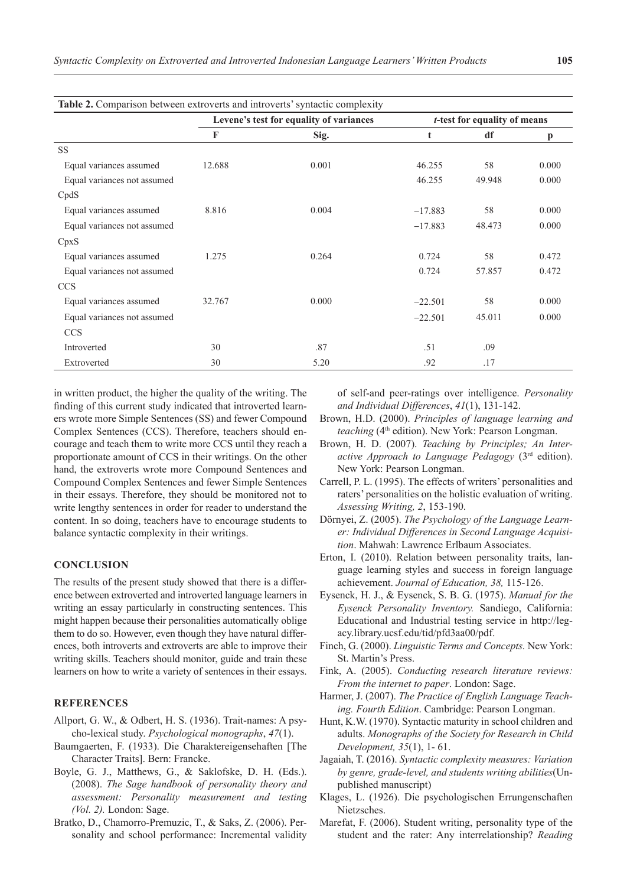| Table 2. Comparison between extroverts and introverts' syntactic complexity |                                         |       |                                      |        |              |  |  |
|-----------------------------------------------------------------------------|-----------------------------------------|-------|--------------------------------------|--------|--------------|--|--|
|                                                                             | Levene's test for equality of variances |       | <i>t</i> -test for equality of means |        |              |  |  |
|                                                                             | F                                       | Sig.  | t                                    | df     | $\mathbf{p}$ |  |  |
| <b>SS</b>                                                                   |                                         |       |                                      |        |              |  |  |
| Equal variances assumed                                                     | 12.688                                  | 0.001 | 46.255                               | 58     | 0.000        |  |  |
| Equal variances not assumed                                                 |                                         |       | 46.255                               | 49.948 | 0.000        |  |  |
| CpdS                                                                        |                                         |       |                                      |        |              |  |  |
| Equal variances assumed                                                     | 8.816                                   | 0.004 | $-17.883$                            | 58     | 0.000        |  |  |
| Equal variances not assumed                                                 |                                         |       | $-17.883$                            | 48.473 | 0.000        |  |  |
| CpxS                                                                        |                                         |       |                                      |        |              |  |  |
| Equal variances assumed                                                     | 1.275                                   | 0.264 | 0.724                                | 58     | 0.472        |  |  |
| Equal variances not assumed                                                 |                                         |       | 0.724                                | 57.857 | 0.472        |  |  |
| <b>CCS</b>                                                                  |                                         |       |                                      |        |              |  |  |
| Equal variances assumed                                                     | 32.767                                  | 0.000 | $-22.501$                            | 58     | 0.000        |  |  |
| Equal variances not assumed                                                 |                                         |       | $-22.501$                            | 45.011 | 0.000        |  |  |
| <b>CCS</b>                                                                  |                                         |       |                                      |        |              |  |  |
| Introverted                                                                 | 30                                      | .87   | .51                                  | .09    |              |  |  |
| Extroverted                                                                 | 30                                      | 5.20  | .92                                  | .17    |              |  |  |

in written product, the higher the quality of the writing. The finding of this current study indicated that introverted learners wrote more Simple Sentences (SS) and fewer Compound Complex Sentences (CCS). Therefore, teachers should encourage and teach them to write more CCS until they reach a proportionate amount of CCS in their writings. On the other hand, the extroverts wrote more Compound Sentences and Compound Complex Sentences and fewer Simple Sentences in their essays. Therefore, they should be monitored not to write lengthy sentences in order for reader to understand the content. In so doing, teachers have to encourage students to balance syntactic complexity in their writings.

## **CONCLUSION**

The results of the present study showed that there is a difference between extroverted and introverted language learners in writing an essay particularly in constructing sentences. This might happen because their personalities automatically oblige them to do so. However, even though they have natural differences, both introverts and extroverts are able to improve their writing skills. Teachers should monitor, guide and train these learners on how to write a variety of sentences in their essays.

# **REFERENCES**

- Allport, G. W., & Odbert, H. S. (1936). Trait-names: A psycho-lexical study. *Psychological monographs*, *47*(1).
- Baumgaerten, F. (1933). Die Charaktereigensehaften [The Character Traits]. Bern: Francke.
- Boyle, G. J., Matthews, G., & Saklofske, D. H. (Eds.). (2008). *The Sage handbook of personality theory and assessment: Personality measurement and testing (Vol. 2).* London: Sage.
- Bratko, D., Chamorro-Premuzic, T., & Saks, Z. (2006). Personality and school performance: Incremental validity

of self-and peer-ratings over intelligence. *Personality and Individual Differences*, *41*(1), 131-142.

- Brown, H.D. (2000). *Principles of language learning and*  teaching (4<sup>th</sup> edition). New York: Pearson Longman.
- Brown, H. D. (2007). *Teaching by Principles; An Interactive Approach to Language Pedagogy* (3rd edition). New York: Pearson Longman.
- Carrell, P. L. (1995). The effects of writers' personalities and raters' personalities on the holistic evaluation of writing. *Assessing Writing, 2*, 153-190.
- Dörnyei, Z. (2005). *The Psychology of the Language Learner: Individual Differences in Second Language Acquisition*. Mahwah: Lawrence Erlbaum Associates.
- Erton, I. (2010). Relation between personality traits, language learning styles and success in foreign language achievement. *Journal of Education, 38,* 115-126.
- Eysenck, H. J., & Eysenck, S. B. G. (1975). *Manual for the Eysenck Personality Inventory.* Sandiego, California: Educational and Industrial testing service in http://legacy.library.ucsf.edu/tid/pfd3aa00/pdf.
- Finch, G. (2000). *Linguistic Terms and Concepts.* New York: St. Martin's Press.
- Fink, A. (2005). *Conducting research literature reviews: From the internet to paper*. London: Sage.
- Harmer, J. (2007). *The Practice of English Language Teaching. Fourth Edition*. Cambridge: Pearson Longman.
- Hunt, K.W. (1970). Syntactic maturity in school children and adults. *Monographs of the Society for Research in Child Development, 35*(1), 1- 61.
- Jagaiah, T. (2016). *Syntactic complexity measures: Variation by genre, grade-level, and students writing abilities*(Unpublished manuscript)
- Klages, L. (1926). Die psychologischen Errungenschaften Nietzsches.
- Marefat, F. (2006). Student writing, personality type of the student and the rater: Any interrelationship? *Reading*